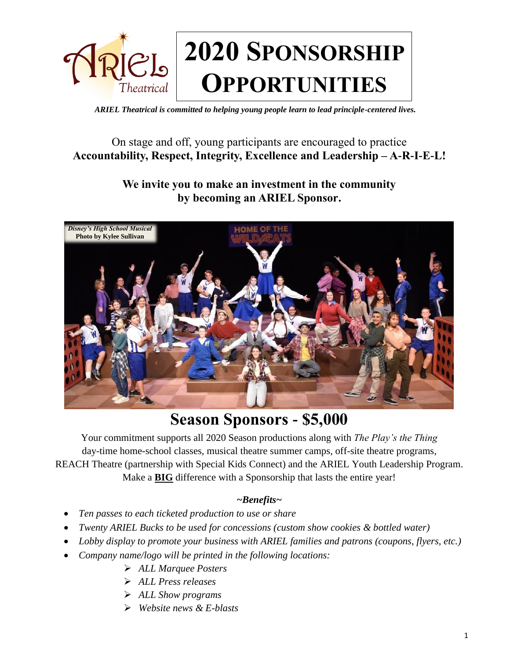

*ARIEL Theatrical is committed to helping young people learn to lead principle-centered lives.* 

## On stage and off, young participants are encouraged to practice **Accountability, Respect, Integrity, Excellence and Leadership – A-R-I-E-L!**

## **We invite you to make an investment in the community by becoming an ARIEL Sponsor.**



## **Season Sponsors - \$5,000**

Your commitment supports all 2020 Season productions along with *The Play's the Thing* day-time home-school classes, musical theatre summer camps, off-site theatre programs, REACH Theatre (partnership with Special Kids Connect) and the ARIEL Youth Leadership Program. Make a **BIG** difference with a Sponsorship that lasts the entire year!

### *~Benefits~*

- *Ten passes to each ticketed production to use or share*
- *Twenty ARIEL Bucks to be used for concessions (custom show cookies & bottled water)*
- *Lobby display to promote your business with ARIEL families and patrons (coupons, flyers, etc.)*
- *Company name/logo will be printed in the following locations:* 
	- *ALL Marquee Posters*
	- *ALL Press releases*
	- *ALL Show programs*
	- *Website news & E-blasts*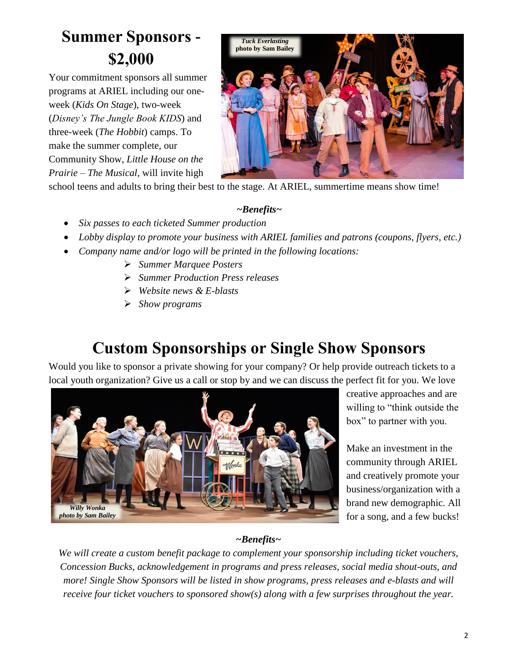# **Summer Sponsors - \$2,000**

Your commitment sponsors all summer programs at ARIEL including our oneweek (*Kids On Stage*), two-week (*Disney's The Jungle Book KIDS*) and three-week (*The Hobbit*) camps. To make the summer complete, our Community Show, *Little House on the Prairie – The Musical*, will invite high



school teens and adults to bring their best to the stage. At ARIEL, summertime means show time!

#### *~Benefits~*

- *Six passes to each ticketed Summer production*
- *Lobby display to promote your business with ARIEL families and patrons (coupons, flyers, etc.)*
- *Company name and/or logo will be printed in the following locations:* 
	- *Summer Marquee Posters*
	- *Summer Production Press releases*
	- *Website news & E-blasts*
	- *Show programs*

# **Custom Sponsorships or Single Show Sponsors**

Would you like to sponsor a private showing for your company? Or help provide outreach tickets to a local youth organization? Give us a call or stop by and we can discuss the perfect fit for you. We love



creative approaches and are willing to "think outside the box" to partner with you.

Make an investment in the community through ARIEL and creatively promote your business/organization with a brand new demographic. All for a song, and a few bucks!

### *~Benefits~*

*We will create a custom benefit package to complement your sponsorship including ticket vouchers, Concession Bucks, acknowledgement in programs and press releases, social media shout-outs, and more! Single Show Sponsors will be listed in show programs, press releases and e-blasts and will receive four ticket vouchers to sponsored show(s) along with a few surprises throughout the year.*